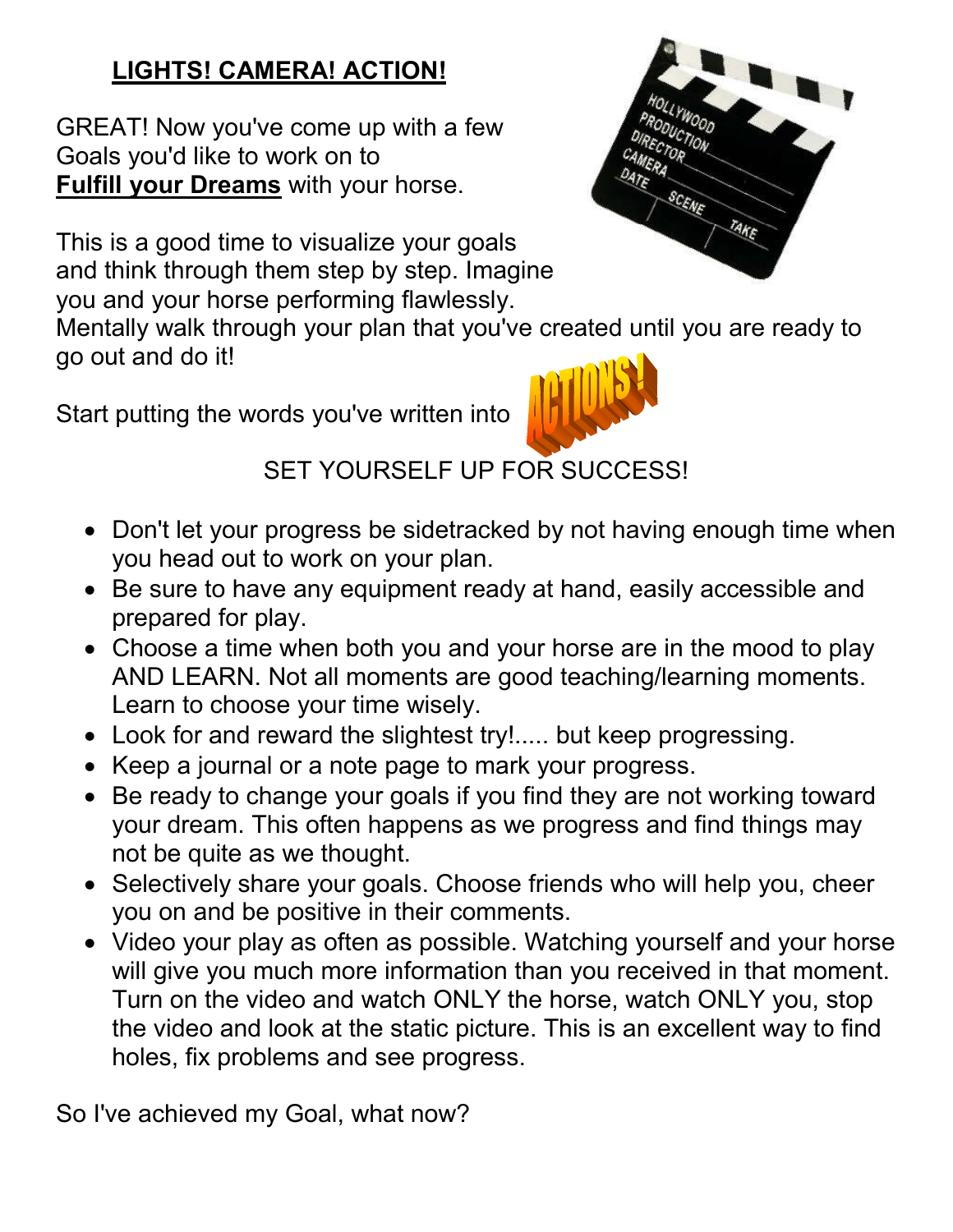## **LIGHTS! CAMERA! ACTION!**

GREAT! Now you've come up with a few Goals you'd like to work on to **Fulfill your Dreams** with your horse.

This is a good time to visualize your goals and think through them step by step. Imagine you and your horse performing flawlessly.



Start putting the words you've written into



## SET YOURSELF UP FOR SUCCESS!

- Don't let your progress be sidetracked by not having enough time when you head out to work on your plan.
- Be sure to have any equipment ready at hand, easily accessible and prepared for play.
- Choose a time when both you and your horse are in the mood to play AND LEARN. Not all moments are good teaching/learning moments. Learn to choose your time wisely.
- Look for and reward the slightest try!..... but keep progressing.
- Keep a journal or a note page to mark your progress.
- Be ready to change your goals if you find they are not working toward your dream. This often happens as we progress and find things may not be quite as we thought.
- Selectively share your goals. Choose friends who will help you, cheer you on and be positive in their comments.
- Video your play as often as possible. Watching yourself and your horse will give you much more information than you received in that moment. Turn on the video and watch ONLY the horse, watch ONLY you, stop the video and look at the static picture. This is an excellent way to find holes, fix problems and see progress.

So I've achieved my Goal, what now?